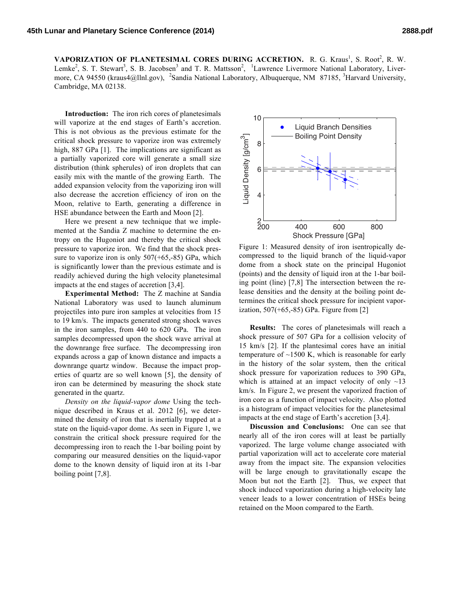VAPORIZATION OF PLANETESIMAL CORES DURING ACCRETION. R. G. Kraus<sup>1</sup>, S. Root<sup>2</sup>, R. W. Lemke<sup>2</sup>, S. T. Stewart<sup>3</sup>, S. B. Jacobsen<sup>3</sup> and T. R. Mattsson<sup>2</sup>, <sup>1</sup>Lawrence Livermore National Laboratory, Livermore, CA 94550 (kraus4@llnl.gov), <sup>2</sup>Sandia National Laboratory, Albuquerque, NM 87185, <sup>3</sup>Harvard University, Cambridge, MA 02138.

**Introduction:** The iron rich cores of planetesimals will vaporize at the end stages of Earth's accretion. This is not obvious as the previous estimate for the critical shock pressure to vaporize iron was extremely high, 887 GPa [1]. The implications are significant as a partially vaporized core will generate a small size distribution (think spherules) of iron droplets that can easily mix with the mantle of the growing Earth. The added expansion velocity from the vaporizing iron will also decrease the accretion efficiency of iron on the Moon, relative to Earth, generating a difference in HSE abundance between the Earth and Moon [2].

Here we present a new technique that we implemented at the Sandia Z machine to determine the entropy on the Hugoniot and thereby the critical shock pressure to vaporize iron. We find that the shock pressure to vaporize iron is only  $507(+65,-85)$  GPa, which is significantly lower than the previous estimate and is readily achieved during the high velocity planetesimal impacts at the end stages of accretion [3,4].

**Experimental Method:** The Z machine at Sandia National Laboratory was used to launch aluminum projectiles into pure iron samples at velocities from 15 to 19 km/s. The impacts generated strong shock waves in the iron samples, from 440 to 620 GPa. The iron samples decompressed upon the shock wave arrival at the downrange free surface. The decompressing iron expands across a gap of known distance and impacts a downrange quartz window. Because the impact properties of quartz are so well known [5], the density of iron can be determined by measuring the shock state generated in the quartz.

*Density on the liquid-vapor dome* Using the technique described in Kraus et al. 2012 [6], we determined the density of iron that is inertially trapped at a state on the liquid-vapor dome. As seen in Figure 1, we constrain the critical shock pressure required for the decompressing iron to reach the 1-bar boiling point by comparing our measured densities on the liquid-vapor dome to the known density of liquid iron at its 1-bar boiling point [7,8].



Figure 1: Measured density of iron isentropically decompressed to the liquid branch of the liquid-vapor dome from a shock state on the principal Hugoniot (points) and the density of liquid iron at the 1-bar boiling point (line) [7,8] The intersection between the release densities and the density at the boiling point determines the critical shock pressure for incipient vaporization, 507(+65,-85) GPa. Figure from [2]

**Results:** The cores of planetesimals will reach a shock pressure of 507 GPa for a collision velocity of 15 km/s [2]. If the plantesimal cores have an initial temperature of  $\sim$ 1500 K, which is reasonable for early in the history of the solar system, then the critical shock pressure for vaporization reduces to 390 GPa, which is attained at an impact velocity of only  $\sim$ 13 km/s. In Figure 2, we present the vaporized fraction of iron core as a function of impact velocity. Also plotted is a histogram of impact velocities for the planetesimal impacts at the end stage of Earth's accretion [3,4].

**Discussion and Conclusions:** One can see that nearly all of the iron cores will at least be partially vaporized. The large volume change associated with partial vaporization will act to accelerate core material away from the impact site. The expansion velocities will be large enough to gravitationally escape the Moon but not the Earth [2]. Thus, we expect that shock induced vaporization during a high-velocity late veneer leads to a lower concentration of HSEs being retained on the Moon compared to the Earth.